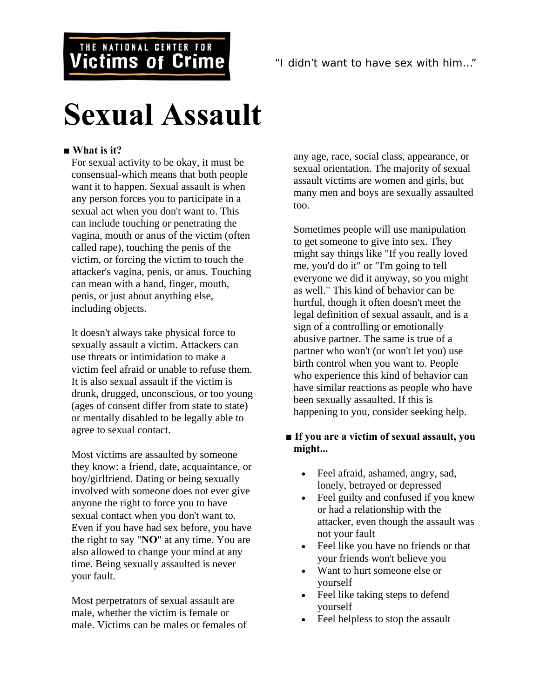## THE NATIONAL CENTER FOR **Victims of Crime**

# **Sexual Assault**

#### ■ What is it?

For sexual activity to be okay, it must be consensual-which means that both people want it to happen. Sexual assault is when any person forces you to participate in a sexual act when you don't want to. This can include touching or penetrating the vagina, mouth or anus of the victim (often called rape), touching the penis of the victim, or forcing the victim to touch the attacker's vagina, penis, or anus. Touching can mean with a hand, finger, mouth, penis, or just about anything else, including objects.

It doesn't always take physical force to sexually assault a victim. Attackers can use threats or intimidation to make a victim feel afraid or unable to refuse them. It is also sexual assault if the victim is drunk, drugged, unconscious, or too young (ages of consent differ from state to state) or mentally disabled to be legally able to agree to sexual contact.

Most victims are assaulted by someone they know: a friend, date, acquaintance, or boy/girlfriend. Dating or being sexually involved with someone does not ever give anyone the right to force you to have sexual contact when you don't want to. Even if you have had sex before, you have the right to say "**NO**" at any time. You are also allowed to change your mind at any time. Being sexually assaulted is never your fault.

Most perpetrators of sexual assault are male, whether the victim is female or male. Victims can be males or females of any age, race, social class, appearance, or sexual orientation. The majority of sexual assault victims are women and girls, but many men and boys are sexually assaulted too.

Sometimes people will use manipulation to get someone to give into sex. They might say things like "If you really loved me, you'd do it" or "I'm going to tell everyone we did it anyway, so you might as well." This kind of behavior can be hurtful, though it often doesn't meet the legal definition of sexual assault, and is a sign of a controlling or emotionally abusive partner. The same is true of a partner who won't (or won't let you) use birth control when you want to. People who experience this kind of behavior can have similar reactions as people who have been sexually assaulted. If this is happening to you, consider seeking help.

#### ■ **If you are a victim of sexual assault, you might...**

- Feel afraid, ashamed, angry, sad, lonely, betrayed or depressed
- Feel guilty and confused if you knew or had a relationship with the attacker, even though the assault was not your fault
- Feel like you have no friends or that your friends won't believe you
- Want to hurt someone else or yourself
- Feel like taking steps to defend yourself
- Feel helpless to stop the assault

*"I didn't want to have sex with him…"*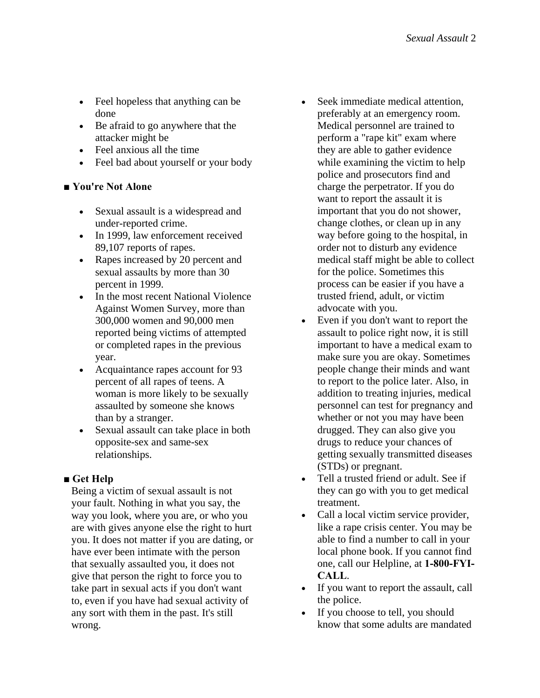- Feel hopeless that anything can be done
- Be afraid to go anywhere that the attacker might be
- Feel anxious all the time
- Feel bad about yourself or your body

#### ■ You're Not Alone

- Sexual assault is a widespread and under-reported crime.
- In 1999, law enforcement received 89,107 reports of rapes.
- Rapes increased by 20 percent and sexual assaults by more than 30 percent in 1999.
- In the most recent National Violence Against Women Survey, more than 300,000 women and 90,000 men reported being victims of attempted or completed rapes in the previous year.
- Acquaintance rapes account for 93 percent of all rapes of teens. A woman is more likely to be sexually assaulted by someone she knows than by a stranger.
- Sexual assault can take place in both opposite-sex and same-sex relationships.

### **■ Get Help**

Being a victim of sexual assault is not your fault. Nothing in what you say, the way you look, where you are, or who you are with gives anyone else the right to hurt you. It does not matter if you are dating, or have ever been intimate with the person that sexually assaulted you, it does not give that person the right to force you to take part in sexual acts if you don't want to, even if you have had sexual activity of any sort with them in the past. It's still wrong.

- Seek immediate medical attention, preferably at an emergency room. Medical personnel are trained to perform a "rape kit" exam where they are able to gather evidence while examining the victim to help police and prosecutors find and charge the perpetrator. If you do want to report the assault it is important that you do not shower, change clothes, or clean up in any way before going to the hospital, in order not to disturb any evidence medical staff might be able to collect for the police. Sometimes this process can be easier if you have a trusted friend, adult, or victim advocate with you.
- Even if you don't want to report the assault to police right now, it is still important to have a medical exam to make sure you are okay. Sometimes people change their minds and want to report to the police later. Also, in addition to treating injuries, medical personnel can test for pregnancy and whether or not you may have been drugged. They can also give you drugs to reduce your chances of getting sexually transmitted diseases (STDs) or pregnant.
- Tell a trusted friend or adult. See if they can go with you to get medical treatment.
- Call a local victim service provider, like a rape crisis center. You may be able to find a number to call in your local phone book. If you cannot find one, call our Helpline, at **1-800-FYI-CALL**.
- If you want to report the assault, call the police.
- If you choose to tell, you should know that some adults are mandated